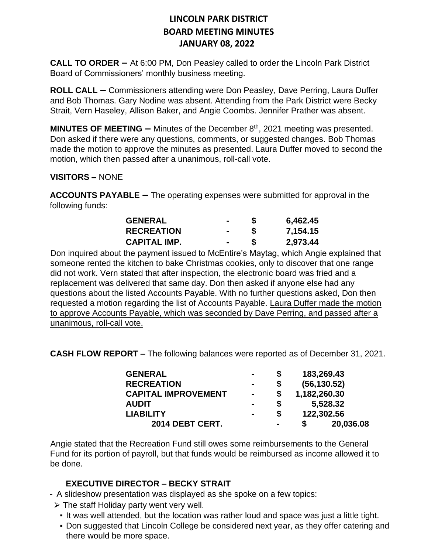**CALL TO ORDER –** At 6:00 PM, Don Peasley called to order the Lincoln Park District Board of Commissioners' monthly business meeting.

**ROLL CALL –** Commissioners attending were Don Peasley, Dave Perring, Laura Duffer and Bob Thomas. Gary Nodine was absent. Attending from the Park District were Becky Strait, Vern Haseley, Allison Baker, and Angie Coombs. Jennifer Prather was absent.

**MINUTES OF MEETING –** Minutes of the December 8<sup>th</sup>, 2021 meeting was presented. Don asked if there were any questions, comments, or suggested changes. Bob Thomas made the motion to approve the minutes as presented. Laura Duffer moved to second the motion, which then passed after a unanimous, roll-call vote.

#### **VISITORS –** NONE

**ACCOUNTS PAYABLE –** The operating expenses were submitted for approval in the following funds:

| <b>GENERAL</b>      |        | 6,462.45 |
|---------------------|--------|----------|
| <b>RECREATION</b>   |        | 7,154.15 |
| <b>CAPITAL IMP.</b> | $\sim$ | 2,973.44 |

Don inquired about the payment issued to McEntire's Maytag, which Angie explained that someone rented the kitchen to bake Christmas cookies, only to discover that one range did not work. Vern stated that after inspection, the electronic board was fried and a replacement was delivered that same day. Don then asked if anyone else had any questions about the listed Accounts Payable. With no further questions asked, Don then requested a motion regarding the list of Accounts Payable. Laura Duffer made the motion to approve Accounts Payable, which was seconded by Dave Perring, and passed after a unanimous, roll-call vote.

**CASH FLOW REPORT –** The following balances were reported as of December 31, 2021.

| <b>GENERAL</b>             | $\blacksquare$ |                | 183,269.43   |           |  |
|----------------------------|----------------|----------------|--------------|-----------|--|
| <b>RECREATION</b>          | $\blacksquare$ |                | (56, 130.52) |           |  |
| <b>CAPITAL IMPROVEMENT</b> | $\blacksquare$ |                | 1,182,260.30 |           |  |
| <b>AUDIT</b>               |                | S              | 5,528.32     |           |  |
| <b>LIABILITY</b>           | $\blacksquare$ |                | 122,302.56   |           |  |
| 2014 DEBT CERT.            |                | $\blacksquare$ |              | 20,036.08 |  |

Angie stated that the Recreation Fund still owes some reimbursements to the General Fund for its portion of payroll, but that funds would be reimbursed as income allowed it to be done.

### **EXECUTIVE DIRECTOR – BECKY STRAIT**

- A slideshow presentation was displayed as she spoke on a few topics:
	- $\triangleright$  The staff Holiday party went very well.
		- It was well attended, but the location was rather loud and space was just a little tight.
		- Don suggested that Lincoln College be considered next year, as they offer catering and there would be more space.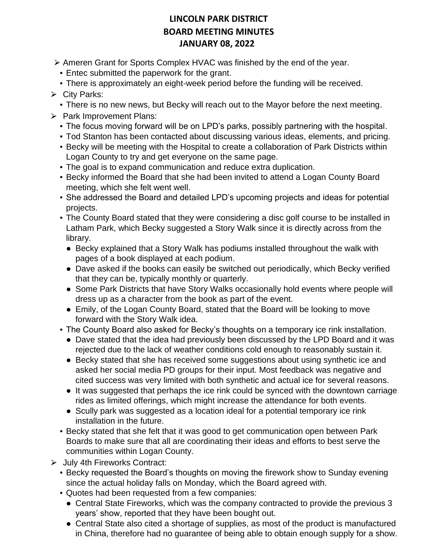- ► Ameren Grant for Sports Complex HVAC was finished by the end of the year.
	- **Entec submitted the paperwork for the grant.**
	- There is approximately an eight-week period before the funding will be received.

### $\triangleright$  City Parks:

- There is no new news, but Becky will reach out to the Mayor before the next meeting.
- ▶ Park Improvement Plans:
	- The focus moving forward will be on LPD's parks, possibly partnering with the hospital.
	- Tod Stanton has been contacted about discussing various ideas, elements, and pricing.
	- **Becky will be meeting with the Hospital to create a collaboration of Park Districts within** Logan County to try and get everyone on the same page.
	- The goal is to expand communication and reduce extra duplication.
	- **Becky informed the Board that she had been invited to attend a Logan County Board** meeting, which she felt went well.
	- She addressed the Board and detailed LPD's upcoming projects and ideas for potential projects.
	- The County Board stated that they were considering a disc golf course to be installed in Latham Park, which Becky suggested a Story Walk since it is directly across from the library.
		- Becky explained that a Story Walk has podiums installed throughout the walk with pages of a book displayed at each podium.
		- Dave asked if the books can easily be switched out periodically, which Becky verified that they can be, typically monthly or quarterly.
		- Some Park Districts that have Story Walks occasionally hold events where people will dress up as a character from the book as part of the event.
		- Emily, of the Logan County Board, stated that the Board will be looking to move forward with the Story Walk idea.
	- The County Board also asked for Becky's thoughts on a temporary ice rink installation.
		- Dave stated that the idea had previously been discussed by the LPD Board and it was rejected due to the lack of weather conditions cold enough to reasonably sustain it.
		- Becky stated that she has received some suggestions about using synthetic ice and asked her social media PD groups for their input. Most feedback was negative and cited success was very limited with both synthetic and actual ice for several reasons.
		- It was suggested that perhaps the ice rink could be synced with the downtown carriage rides as limited offerings, which might increase the attendance for both events.
		- Scully park was suggested as a location ideal for a potential temporary ice rink installation in the future.
	- **Becky stated that she felt that it was good to get communication open between Park** Boards to make sure that all are coordinating their ideas and efforts to best serve the communities within Logan County.
- ⮚ July 4th Fireworks Contract:
	- **Becky requested the Board's thoughts on moving the firework show to Sunday evening** since the actual holiday falls on Monday, which the Board agreed with.
	- Quotes had been requested from a few companies:
		- Central State Fireworks, which was the company contracted to provide the previous 3 years' show, reported that they have been bought out.
		- Central State also cited a shortage of supplies, as most of the product is manufactured in China, therefore had no guarantee of being able to obtain enough supply for a show.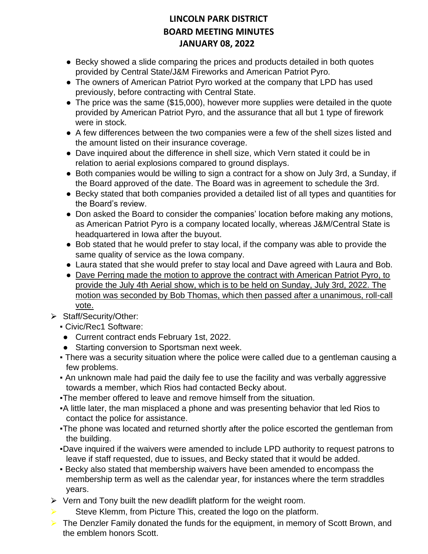- Becky showed a slide comparing the prices and products detailed in both quotes provided by Central State/J&M Fireworks and American Patriot Pyro.
- The owners of American Patriot Pyro worked at the company that LPD has used previously, before contracting with Central State.
- The price was the same (\$15,000), however more supplies were detailed in the quote provided by American Patriot Pyro, and the assurance that all but 1 type of firework were in stock.
- A few differences between the two companies were a few of the shell sizes listed and the amount listed on their insurance coverage.
- Dave inquired about the difference in shell size, which Vern stated it could be in relation to aerial explosions compared to ground displays.
- Both companies would be willing to sign a contract for a show on July 3rd, a Sunday, if the Board approved of the date. The Board was in agreement to schedule the 3rd.
- Becky stated that both companies provided a detailed list of all types and quantities for the Board's review.
- Don asked the Board to consider the companies' location before making any motions, as American Patriot Pyro is a company located locally, whereas J&M/Central State is headquartered in Iowa after the buyout.
- Bob stated that he would prefer to stay local, if the company was able to provide the same quality of service as the Iowa company.
- Laura stated that she would prefer to stay local and Dave agreed with Laura and Bob.
- Dave Perring made the motion to approve the contract with American Patriot Pyro, to provide the July 4th Aerial show, which is to be held on Sunday, July 3rd, 2022. The motion was seconded by Bob Thomas, which then passed after a unanimous, roll-call vote.
- ⮚ Staff/Security/Other:
	- Civic/Rec1 Software:
	- Current contract ends February 1st, 2022.
	- Starting conversion to Sportsman next week.
	- There was a security situation where the police were called due to a gentleman causing a few problems.
	- An unknown male had paid the daily fee to use the facility and was verbally aggressive towards a member, which Rios had contacted Becky about.
	- . The member offered to leave and remove himself from the situation.
	- ▪A little later, the man misplaced a phone and was presenting behavior that led Rios to contact the police for assistance.
	- . The phone was located and returned shortly after the police escorted the gentleman from the building.
	- ▪Dave inquired if the waivers were amended to include LPD authority to request patrons to leave if staff requested, due to issues, and Becky stated that it would be added.
	- Becky also stated that membership waivers have been amended to encompass the membership term as well as the calendar year, for instances where the term straddles years.
- $\triangleright$  Vern and Tony built the new deadlift platform for the weight room.
- $\triangleright$  Steve Klemm, from Picture This, created the logo on the platform.
- $\triangleright$  The Denzler Family donated the funds for the equipment, in memory of Scott Brown, and the emblem honors Scott.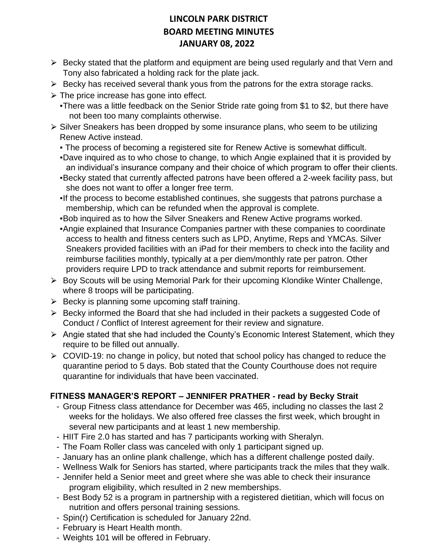- $\triangleright$  Becky stated that the platform and equipment are being used regularly and that Vern and Tony also fabricated a holding rack for the plate jack.
- $\triangleright$  Becky has received several thank yous from the patrons for the extra storage racks.
- $\triangleright$  The price increase has gone into effect.
	- . There was a little feedback on the Senior Stride rate going from \$1 to \$2, but there have not been too many complaints otherwise.
- ⮚ Silver Sneakers has been dropped by some insurance plans, who seem to be utilizing Renew Active instead.
	- The process of becoming a registered site for Renew Active is somewhat difficult.
	- ▪Dave inquired as to who chose to change, to which Angie explained that it is provided by an individual's insurance company and their choice of which program to offer their clients.
	- ▪Becky stated that currently affected patrons have been offered a 2-week facility pass, but she does not want to offer a longer free term.
	- ▪If the process to become established continues, she suggests that patrons purchase a membership, which can be refunded when the approval is complete.
	- ▪Bob inquired as to how the Silver Sneakers and Renew Active programs worked.
	- ▪Angie explained that Insurance Companies partner with these companies to coordinate access to health and fitness centers such as LPD, Anytime, Reps and YMCAs. Silver Sneakers provided facilities with an iPad for their members to check into the facility and reimburse facilities monthly, typically at a per diem/monthly rate per patron. Other providers require LPD to track attendance and submit reports for reimbursement.
- $\triangleright$  Boy Scouts will be using Memorial Park for their upcoming Klondike Winter Challenge, where 8 troops will be participating.
- $\triangleright$  Becky is planning some upcoming staff training.
- $\triangleright$  Becky informed the Board that she had included in their packets a suggested Code of Conduct / Conflict of Interest agreement for their review and signature.
- ⮚ Angie stated that she had included the County's Economic Interest Statement, which they require to be filled out annually.
- $\triangleright$  COVID-19: no change in policy, but noted that school policy has changed to reduce the quarantine period to 5 days. Bob stated that the County Courthouse does not require quarantine for individuals that have been vaccinated.

### **FITNESS MANAGER'S REPORT – JENNIFER PRATHER - read by Becky Strait**

- Group Fitness class attendance for December was 465, including no classes the last 2 weeks for the holidays. We also offered free classes the first week, which brought in several new participants and at least 1 new membership.
- HIIT Fire 2.0 has started and has 7 participants working with Sheralyn.
- The Foam Roller class was canceled with only 1 participant signed up.
- January has an online plank challenge, which has a different challenge posted daily.
- Wellness Walk for Seniors has started, where participants track the miles that they walk.
- Jennifer held a Senior meet and greet where she was able to check their insurance program eligibility, which resulted in 2 new memberships.
- Best Body 52 is a program in partnership with a registered dietitian, which will focus on nutrition and offers personal training sessions.
- Spin(r) Certification is scheduled for January 22nd.
- February is Heart Health month.
- Weights 101 will be offered in February.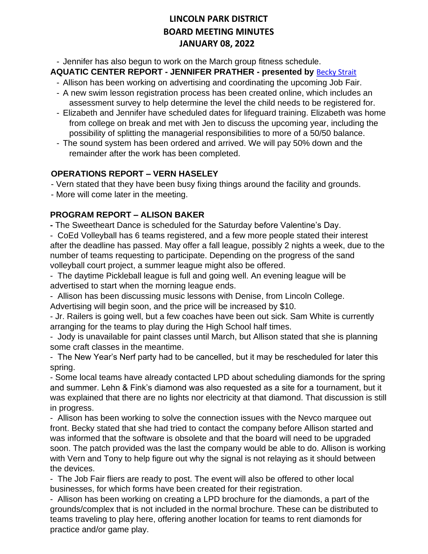- Jennifer has also begun to work on the March group fitness schedule.

#### **AQUATIC CENTER REPORT - JENNIFER PRATHER - presented by** [Becky Strait](mailto:bstrait@lincolnparkdistrict.com)

- Allison has been working on advertising and coordinating the upcoming Job Fair.
- A new swim lesson registration process has been created online, which includes an assessment survey to help determine the level the child needs to be registered for.
- Elizabeth and Jennifer have scheduled dates for lifeguard training. Elizabeth was home from college on break and met with Jen to discuss the upcoming year, including the possibility of splitting the managerial responsibilities to more of a 50/50 balance.
- The sound system has been ordered and arrived. We will pay 50% down and the remainder after the work has been completed.

#### **OPERATIONS REPORT – VERN HASELEY**

- Vern stated that they have been busy fixing things around the facility and grounds.

- More will come later in the meeting.

### **PROGRAM REPORT – ALISON BAKER**

**-** The Sweetheart Dance is scheduled for the Saturday before Valentine's Day.

- CoEd Volleyball has 6 teams registered, and a few more people stated their interest after the deadline has passed. May offer a fall league, possibly 2 nights a week, due to the number of teams requesting to participate. Depending on the progress of the sand volleyball court project, a summer league might also be offered.

- The daytime Pickleball league is full and going well. An evening league will be advertised to start when the morning league ends.

- Allison has been discussing music lessons with Denise, from Lincoln College. Advertising will begin soon, and the price will be increased by \$10.

- Jr. Railers is going well, but a few coaches have been out sick. Sam White is currently arranging for the teams to play during the High School half times.

- Jody is unavailable for paint classes until March, but Allison stated that she is planning some craft classes in the meantime.

- The New Year's Nerf party had to be cancelled, but it may be rescheduled for later this spring.

- Some local teams have already contacted LPD about scheduling diamonds for the spring and summer. Lehn & Fink's diamond was also requested as a site for a tournament, but it was explained that there are no lights nor electricity at that diamond. That discussion is still in progress.

- Allison has been working to solve the connection issues with the Nevco marquee out front. Becky stated that she had tried to contact the company before Allison started and was informed that the software is obsolete and that the board will need to be upgraded soon. The patch provided was the last the company would be able to do. Allison is working with Vern and Tony to help figure out why the signal is not relaying as it should between the devices.

- The Job Fair fliers are ready to post. The event will also be offered to other local businesses, for which forms have been created for their registration.

- Allison has been working on creating a LPD brochure for the diamonds, a part of the grounds/complex that is not included in the normal brochure. These can be distributed to teams traveling to play here, offering another location for teams to rent diamonds for practice and/or game play.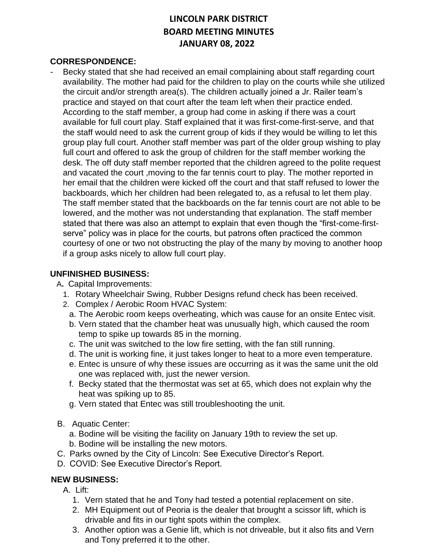#### **CORRESPONDENCE:**

Becky stated that she had received an email complaining about staff regarding court availability. The mother had paid for the children to play on the courts while she utilized the circuit and/or strength area(s). The children actually joined a Jr. Railer team's practice and stayed on that court after the team left when their practice ended. According to the staff member, a group had come in asking if there was a court available for full court play. Staff explained that it was first-come-first-serve, and that the staff would need to ask the current group of kids if they would be willing to let this group play full court. Another staff member was part of the older group wishing to play full court and offered to ask the group of children for the staff member working the desk. The off duty staff member reported that the children agreed to the polite request and vacated the court ,moving to the far tennis court to play. The mother reported in her email that the children were kicked off the court and that staff refused to lower the backboards, which her children had been relegated to, as a refusal to let them play. The staff member stated that the backboards on the far tennis court are not able to be lowered, and the mother was not understanding that explanation. The staff member stated that there was also an attempt to explain that even though the "first-come-firstserve" policy was in place for the courts, but patrons often practiced the common courtesy of one or two not obstructing the play of the many by moving to another hoop if a group asks nicely to allow full court play.

#### **UNFINISHED BUSINESS:**

A**.** Capital Improvements:

- 1. Rotary Wheelchair Swing, Rubber Designs refund check has been received.
- 2. Complex / Aerobic Room HVAC System:
	- a. The Aerobic room keeps overheating, which was cause for an onsite Entec visit.
	- b. Vern stated that the chamber heat was unusually high, which caused the room temp to spike up towards 85 in the morning.
	- c. The unit was switched to the low fire setting, with the fan still running.
	- d. The unit is working fine, it just takes longer to heat to a more even temperature.
	- e. Entec is unsure of why these issues are occurring as it was the same unit the old one was replaced with, just the newer version.
	- f. Becky stated that the thermostat was set at 65, which does not explain why the heat was spiking up to 85.
	- g. Vern stated that Entec was still troubleshooting the unit.
- B. Aquatic Center:
	- a. Bodine will be visiting the facility on January 19th to review the set up.
	- b. Bodine will be installing the new motors.
- C. Parks owned by the City of Lincoln: See Executive Director's Report.
- D. COVID: See Executive Director's Report.

### **NEW BUSINESS:**

- A. Lift:
	- 1. Vern stated that he and Tony had tested a potential replacement on site.
	- 2. MH Equipment out of Peoria is the dealer that brought a scissor lift, which is drivable and fits in our tight spots within the complex.
	- 3. Another option was a Genie lift, which is not driveable, but it also fits and Vern and Tony preferred it to the other.